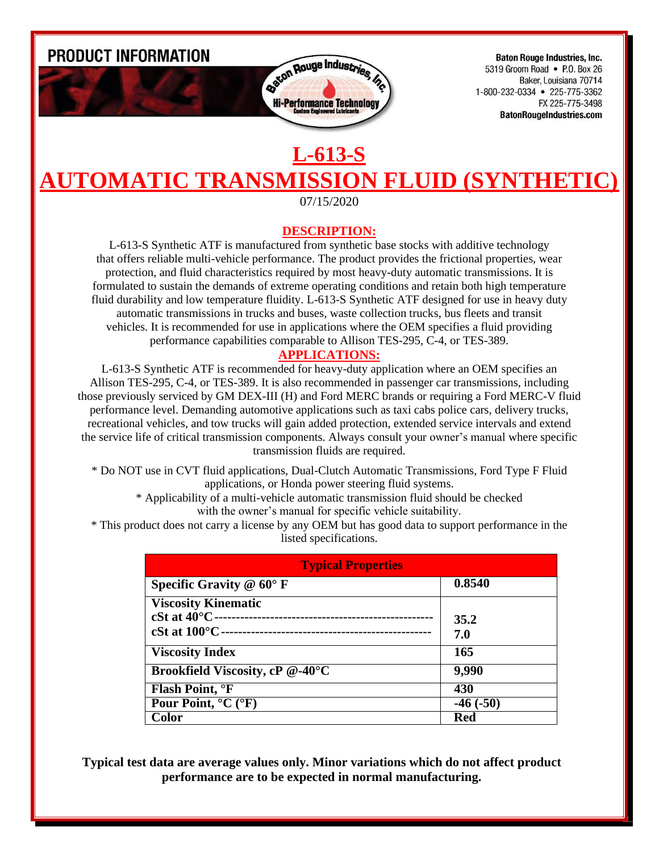PRODUCT INFORMATION



**Baton Rouge Industries, Inc.** 5319 Groom Road • P.O. Box 26 Baker, Louisiana 70714 1-800-232-0334 • 225-775-3362 FX 225-775-3498 **BatonRougeIndustries.com** 

## **L-613-S AUTOMATIC TRANSMISSION FLUID (SYNTHE**

07/15/2020

## **DESCRIPTION:**

L-613-S Synthetic ATF is manufactured from synthetic base stocks with additive technology that offers reliable multi-vehicle performance. The product provides the frictional properties, wear protection, and fluid characteristics required by most heavy-duty automatic transmissions. It is formulated to sustain the demands of extreme operating conditions and retain both high temperature fluid durability and low temperature fluidity. L-613-S Synthetic ATF designed for use in heavy duty automatic transmissions in trucks and buses, waste collection trucks, bus fleets and transit vehicles. It is recommended for use in applications where the OEM specifies a fluid providing performance capabilities comparable to Allison TES-295, C-4, or TES-389.

## **APPLICATIONS:**

L-613-S Synthetic ATF is recommended for heavy-duty application where an OEM specifies an Allison TES-295, C-4, or TES-389. It is also recommended in passenger car transmissions, including those previously serviced by GM DEX-III (H) and Ford MERC brands or requiring a Ford MERC-V fluid performance level. Demanding automotive applications such as taxi cabs police cars, delivery trucks, recreational vehicles, and tow trucks will gain added protection, extended service intervals and extend the service life of critical transmission components. Always consult your owner's manual where specific transmission fluids are required.

\* Do NOT use in CVT fluid applications, Dual-Clutch Automatic Transmissions, Ford Type F Fluid applications, or Honda power steering fluid systems.

\* Applicability of a multi-vehicle automatic transmission fluid should be checked with the owner's manual for specific vehicle suitability.

\* This product does not carry a license by any OEM but has good data to support performance in the listed specifications.

| <b>Typical Properties</b>               |            |
|-----------------------------------------|------------|
| Specific Gravity $@$ 60 $\degree$ F     | 0.8540     |
| <b>Viscosity Kinematic</b>              |            |
| $cSt$ at $40^{\circ}$ C -               | 35.2       |
| cSt at $100^{\circ}$ C ---              | 7.0        |
| <b>Viscosity Index</b>                  | 165        |
| Brookfield Viscosity, cP @-40°C         | 9,990      |
| Flash Point, <sup>o</sup> F             | 430        |
| Pour Point, $^{\circ}C$ ( $^{\circ}F$ ) | $-46(-50)$ |
| Color                                   | Red        |

**Typical test data are average values only. Minor variations which do not affect product performance are to be expected in normal manufacturing.**